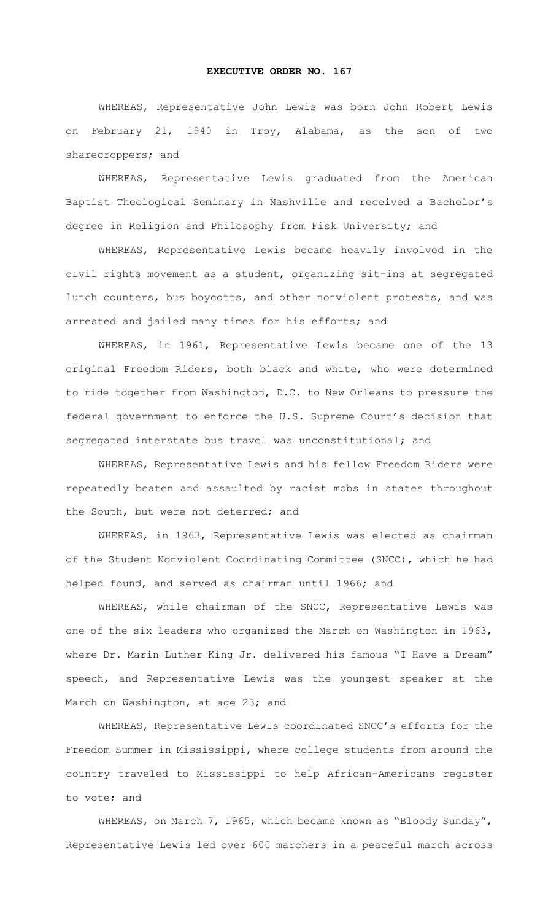## **EXECUTIVE ORDER NO. 167**

WHEREAS, Representative John Lewis was born John Robert Lewis on February 21, 1940 in Troy, Alabama, as the son of two sharecroppers; and

WHEREAS, Representative Lewis graduated from the American Baptist Theological Seminary in Nashville and received a Bachelor's degree in Religion and Philosophy from Fisk University; and

WHEREAS, Representative Lewis became heavily involved in the civil rights movement as a student, organizing sit-ins at segregated lunch counters, bus boycotts, and other nonviolent protests, and was arrested and jailed many times for his efforts; and

WHEREAS, in 1961, Representative Lewis became one of the 13 original Freedom Riders, both black and white, who were determined to ride together from Washington, D.C. to New Orleans to pressure the federal government to enforce the U.S. Supreme Court's decision that segregated interstate bus travel was unconstitutional; and

WHEREAS, Representative Lewis and his fellow Freedom Riders were repeatedly beaten and assaulted by racist mobs in states throughout the South, but were not deterred; and

WHEREAS, in 1963, Representative Lewis was elected as chairman of the Student Nonviolent Coordinating Committee (SNCC), which he had helped found, and served as chairman until 1966; and

WHEREAS, while chairman of the SNCC, Representative Lewis was one of the six leaders who organized the March on Washington in 1963, where Dr. Marin Luther King Jr. delivered his famous "I Have a Dream" speech, and Representative Lewis was the youngest speaker at the March on Washington, at age 23; and

WHEREAS, Representative Lewis coordinated SNCC's efforts for the Freedom Summer in Mississippi, where college students from around the country traveled to Mississippi to help African-Americans register to vote; and

WHEREAS, on March 7, 1965, which became known as "Bloody Sunday", Representative Lewis led over 600 marchers in a peaceful march across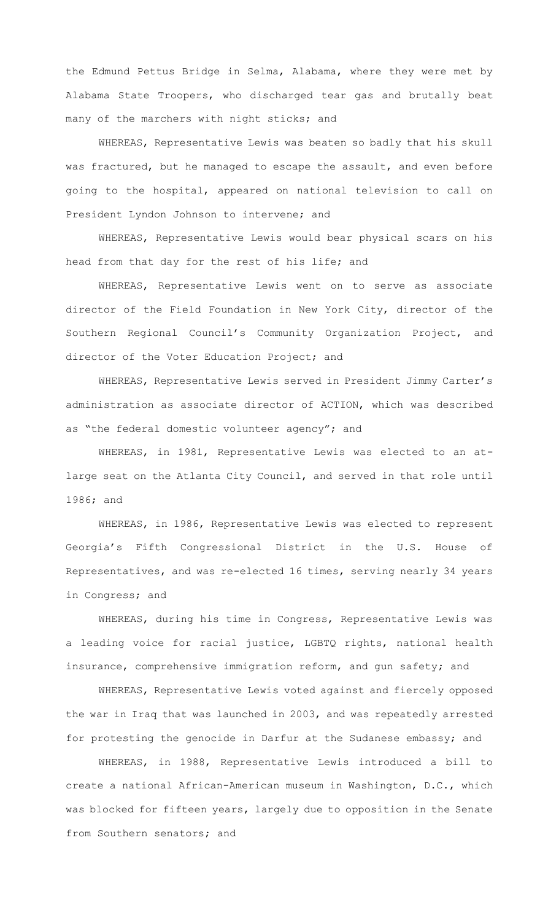the Edmund Pettus Bridge in Selma, Alabama, where they were met by Alabama State Troopers, who discharged tear gas and brutally beat many of the marchers with night sticks; and

WHEREAS, Representative Lewis was beaten so badly that his skull was fractured, but he managed to escape the assault, and even before going to the hospital, appeared on national television to call on President Lyndon Johnson to intervene; and

WHEREAS, Representative Lewis would bear physical scars on his head from that day for the rest of his life; and

WHEREAS, Representative Lewis went on to serve as associate director of the Field Foundation in New York City, director of the Southern Regional Council's Community Organization Project, and director of the Voter Education Project; and

WHEREAS, Representative Lewis served in President Jimmy Carter's administration as associate director of ACTION, which was described as "the federal domestic volunteer agency"; and

WHEREAS, in 1981, Representative Lewis was elected to an atlarge seat on the Atlanta City Council, and served in that role until 1986; and

WHEREAS, in 1986, Representative Lewis was elected to represent Georgia's Fifth Congressional District in the U.S. House of Representatives, and was re-elected 16 times, serving nearly 34 years in Congress; and

WHEREAS, during his time in Congress, Representative Lewis was a leading voice for racial justice, LGBTQ rights, national health insurance, comprehensive immigration reform, and gun safety; and

WHEREAS, Representative Lewis voted against and fiercely opposed the war in Iraq that was launched in 2003, and was repeatedly arrested for protesting the genocide in Darfur at the Sudanese embassy; and

WHEREAS, in 1988, Representative Lewis introduced a bill to create a national African-American museum in Washington, D.C., which was blocked for fifteen years, largely due to opposition in the Senate from Southern senators; and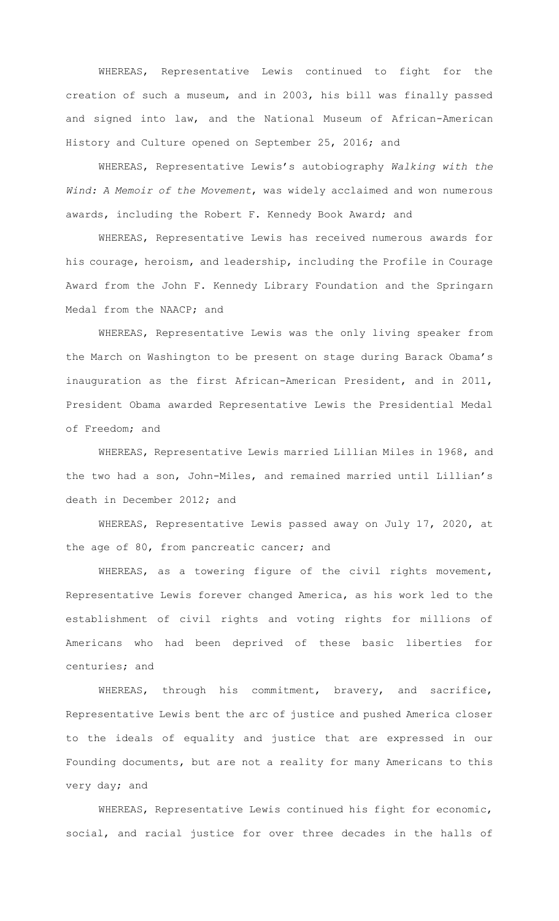WHEREAS, Representative Lewis continued to fight for the creation of such a museum, and in 2003, his bill was finally passed and signed into law, and the National Museum of African-American History and Culture opened on September 25, 2016; and

WHEREAS, Representative Lewis's autobiography *Walking with the Wind: A Memoir of the Movement*, was widely acclaimed and won numerous awards, including the Robert F. Kennedy Book Award; and

WHEREAS, Representative Lewis has received numerous awards for his courage, heroism, and leadership, including the Profile in Courage Award from the John F. Kennedy Library Foundation and the Springarn Medal from the NAACP; and

WHEREAS, Representative Lewis was the only living speaker from the March on Washington to be present on stage during Barack Obama's inauguration as the first African-American President, and in 2011, President Obama awarded Representative Lewis the Presidential Medal of Freedom; and

WHEREAS, Representative Lewis married Lillian Miles in 1968, and the two had a son, John-Miles, and remained married until Lillian's death in December 2012; and

WHEREAS, Representative Lewis passed away on July 17, 2020, at the age of 80, from pancreatic cancer; and

WHEREAS, as a towering figure of the civil rights movement, Representative Lewis forever changed America, as his work led to the establishment of civil rights and voting rights for millions of Americans who had been deprived of these basic liberties for centuries; and

WHEREAS, through his commitment, bravery, and sacrifice, Representative Lewis bent the arc of justice and pushed America closer to the ideals of equality and justice that are expressed in our Founding documents, but are not a reality for many Americans to this very day; and

WHEREAS, Representative Lewis continued his fight for economic, social, and racial justice for over three decades in the halls of